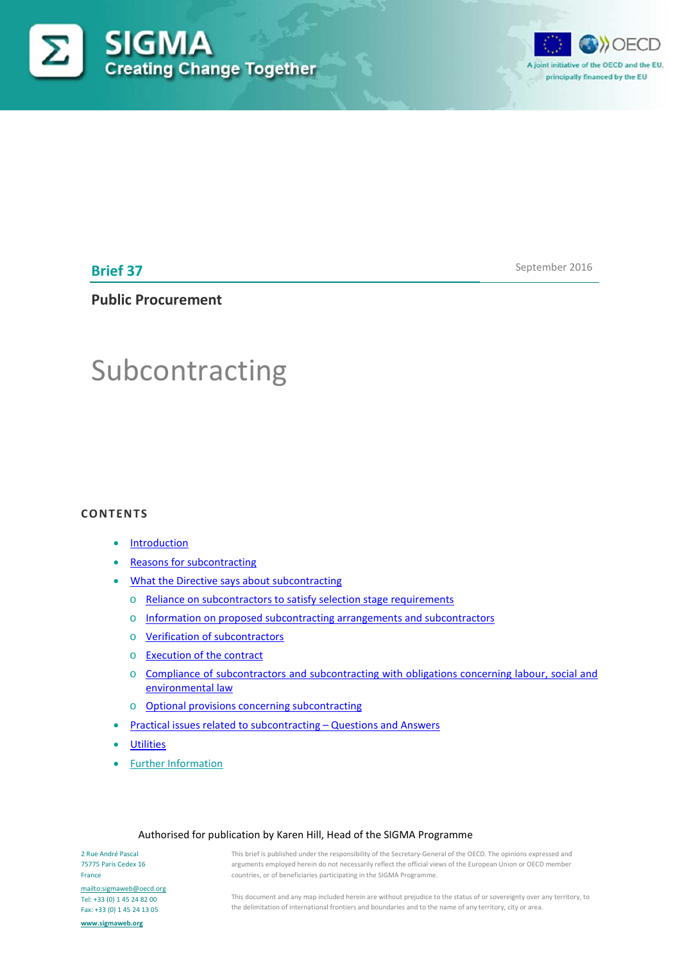



**Brief 37**

September 2016

**Public Procurement**

# Subcontracting

#### **CONTENTS**

- **[Introduction](#page-0-0)**
- **[Reasons for subcontracting](#page-2-0)**
- [What the Directive says about subcontracting](#page-3-0)
	- o [Reliance on subcontractors to satisfy selection stage requirements](#page-3-1)
	- o Information on [proposed subcontracting arrangements and subcontractors](#page-3-2)
	- o [Verification of subcontractors](#page-4-0)
	- o [Execution of the contract](#page-5-0)
	- o Compliance of subcontractors and subcontracting with obligations concerning labour, social and [environmental law](#page-5-1)
	- o [Optional provisions concerning subcontracting](#page-6-0)
- [Practical issues related to](#page-7-0) subcontracting Questions and Answers
- **[Utilities](#page-8-0)**
- [Further Information](#page-10-0)

#### Authorised for publication by Karen Hill, Head of the SIGMA Programme

<span id="page-0-0"></span>2 Rue André Pascal 75775 Paris Cedex 16 France <mailto:sigmaweb@oecd.org> Tel: +33 (0) 1 45 24 82 00 Fax: +33 (0) 1 45 24 13 05 **[www.sigmaweb.org](http://www.sigmaweb.org/)**

This brief is published under the responsibility of the Secretary-General of the OECD. The opinions expressed and arguments employed herein do not necessarily reflect the official views of the European Union or OECD member countries, or of beneficiaries participating in the SIGMA Programme.

This document and any map included herein are without prejudice to the status of or sovereignty over any territory, to the delimitation of international frontiers and boundaries and to the name of any territory, city or area.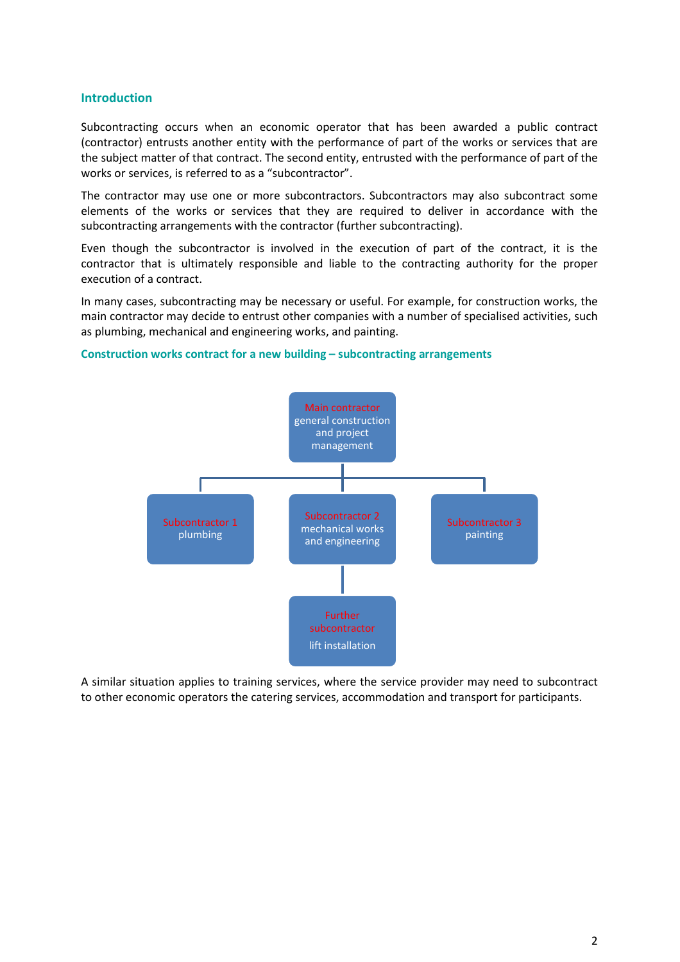## **Introduction**

Subcontracting occurs when an economic operator that has been awarded a public contract (contractor) entrusts another entity with the performance of part of the works or services that are the subject matter of that contract. The second entity, entrusted with the performance of part of the works or services, is referred to as a "subcontractor".

The contractor may use one or more subcontractors. Subcontractors may also subcontract some elements of the works or services that they are required to deliver in accordance with the subcontracting arrangements with the contractor (further subcontracting).

Even though the subcontractor is involved in the execution of part of the contract, it is the contractor that is ultimately responsible and liable to the contracting authority for the proper execution of a contract.

In many cases, subcontracting may be necessary or useful. For example, for construction works, the main contractor may decide to entrust other companies with a number of specialised activities, such as plumbing, mechanical and engineering works, and painting.

#### **Construction works contract for a new building – subcontracting arrangements**



A similar situation applies to training services, where the service provider may need to subcontract to other economic operators the catering services, accommodation and transport for participants.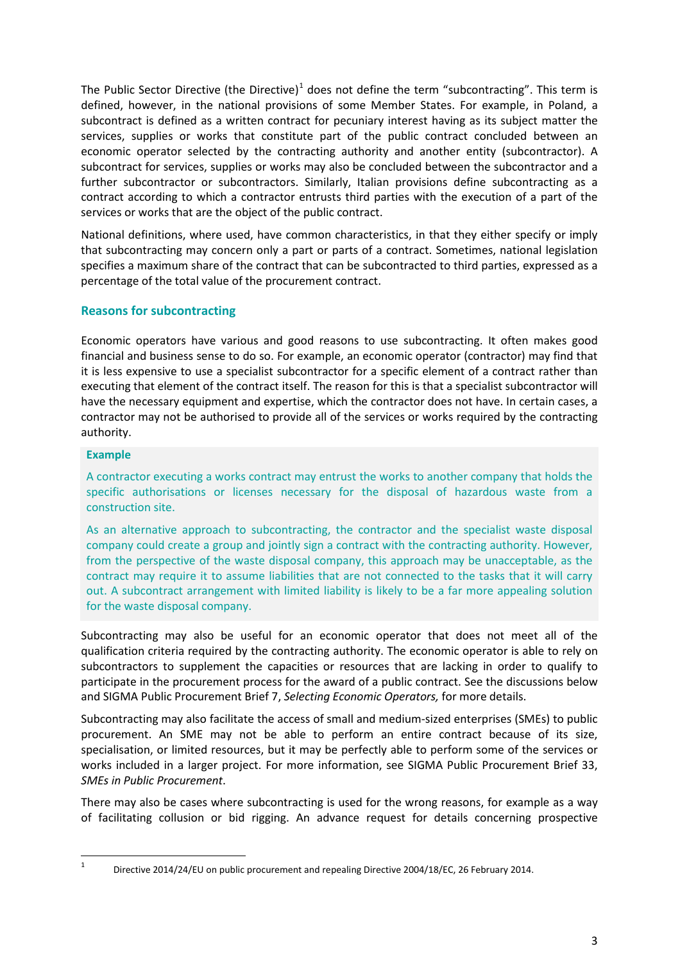The Public Sector Directive (the Directive)<sup>[1](#page-2-1)</sup> does not define the term "subcontracting". This term is defined, however, in the national provisions of some Member States. For example, in Poland, a subcontract is defined as a written contract for pecuniary interest having as its subject matter the services, supplies or works that constitute part of the public contract concluded between an economic operator selected by the contracting authority and another entity (subcontractor). A subcontract for services, supplies or works may also be concluded between the subcontractor and a further subcontractor or subcontractors. Similarly, Italian provisions define subcontracting as a contract according to which a contractor entrusts third parties with the execution of a part of the services or works that are the object of the public contract.

National definitions, where used, have common characteristics, in that they either specify or imply that subcontracting may concern only a part or parts of a contract. Sometimes, national legislation specifies a maximum share of the contract that can be subcontracted to third parties, expressed as a percentage of the total value of the procurement contract.

# <span id="page-2-0"></span>**Reasons for subcontracting**

Economic operators have various and good reasons to use subcontracting. It often makes good financial and business sense to do so. For example, an economic operator (contractor) may find that it is less expensive to use a specialist subcontractor for a specific element of a contract rather than executing that element of the contract itself. The reason for this is that a specialist subcontractor will have the necessary equipment and expertise, which the contractor does not have. In certain cases, a contractor may not be authorised to provide all of the services or works required by the contracting authority.

# **Example**

A contractor executing a works contract may entrust the works to another company that holds the specific authorisations or licenses necessary for the disposal of hazardous waste from a construction site.

As an alternative approach to subcontracting, the contractor and the specialist waste disposal company could create a group and jointly sign a contract with the contracting authority. However, from the perspective of the waste disposal company, this approach may be unacceptable, as the contract may require it to assume liabilities that are not connected to the tasks that it will carry out. A subcontract arrangement with limited liability is likely to be a far more appealing solution for the waste disposal company.

Subcontracting may also be useful for an economic operator that does not meet all of the qualification criteria required by the contracting authority. The economic operator is able to rely on subcontractors to supplement the capacities or resources that are lacking in order to qualify to participate in the procurement process for the award of a public contract. See the discussions below and SIGMA Public Procurement Brief 7, *Selecting Economic Operators,* for more details.

Subcontracting may also facilitate the access of small and medium-sized enterprises (SMEs) to public procurement. An SME may not be able to perform an entire contract because of its size, specialisation, or limited resources, but it may be perfectly able to perform some of the services or works included in a larger project. For more information, see SIGMA Public Procurement Brief 33, *SMEs in Public Procurement*.

There may also be cases where subcontracting is used for the wrong reasons, for example as a way of facilitating collusion or bid rigging. An advance request for details concerning prospective

<span id="page-2-1"></span> <sup>1</sup> Directive 2014/24/EU on public procurement and repealing Directive 2004/18/EC, 26 February 2014.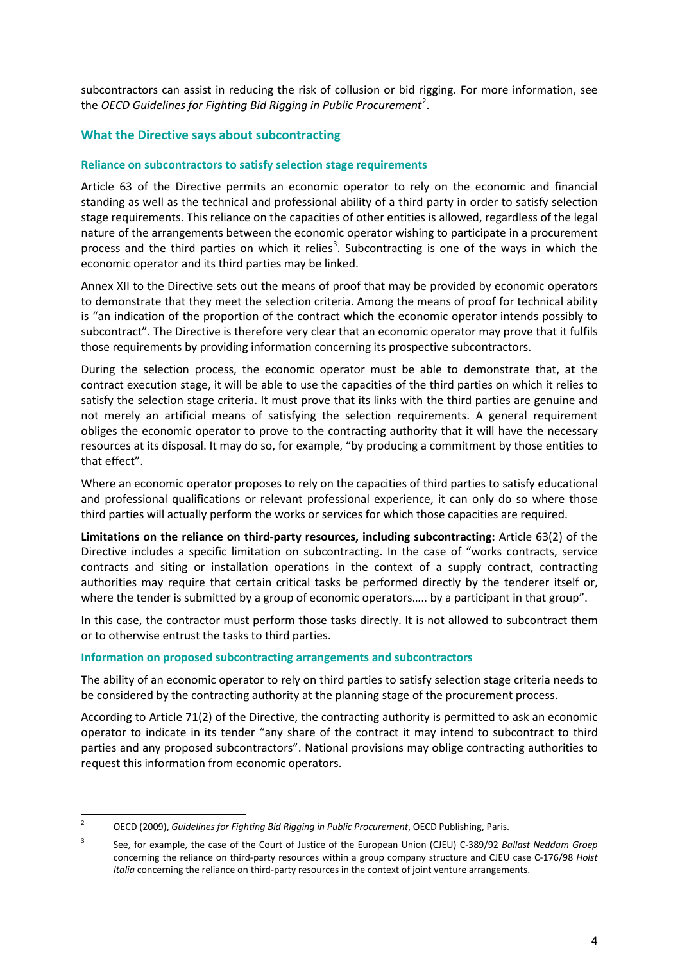subcontractors can assist in reducing the risk of collusion or bid rigging. For more information, see the *OECD Guidelines for Fighting Bid Rigging in Public Procurement<sup>[2](#page-3-3)</sup>.* 

# <span id="page-3-0"></span>**What the Directive says about subcontracting**

## <span id="page-3-1"></span>**Reliance on subcontractors to satisfy selection stage requirements**

Article 63 of the Directive permits an economic operator to rely on the economic and financial standing as well as the technical and professional ability of a third party in order to satisfy selection stage requirements. This reliance on the capacities of other entities is allowed, regardless of the legal nature of the arrangements between the economic operator wishing to participate in a procurement process and the third parties on which it relies<sup>[3](#page-3-4)</sup>. Subcontracting is one of the ways in which the economic operator and its third parties may be linked.

Annex XII to the Directive sets out the means of proof that may be provided by economic operators to demonstrate that they meet the selection criteria. Among the means of proof for technical ability is "an indication of the proportion of the contract which the economic operator intends possibly to subcontract". The Directive is therefore very clear that an economic operator may prove that it fulfils those requirements by providing information concerning its prospective subcontractors.

During the selection process, the economic operator must be able to demonstrate that, at the contract execution stage, it will be able to use the capacities of the third parties on which it relies to satisfy the selection stage criteria. It must prove that its links with the third parties are genuine and not merely an artificial means of satisfying the selection requirements. A general requirement obliges the economic operator to prove to the contracting authority that it will have the necessary resources at its disposal. It may do so, for example, "by producing a commitment by those entities to that effect".

Where an economic operator proposes to rely on the capacities of third parties to satisfy educational and professional qualifications or relevant professional experience, it can only do so where those third parties will actually perform the works or services for which those capacities are required.

**Limitations on the reliance on third-party resources, including subcontracting:** Article 63(2) of the Directive includes a specific limitation on subcontracting. In the case of "works contracts, service contracts and siting or installation operations in the context of a supply contract, contracting authorities may require that certain critical tasks be performed directly by the tenderer itself or, where the tender is submitted by a group of economic operators..... by a participant in that group".

In this case, the contractor must perform those tasks directly. It is not allowed to subcontract them or to otherwise entrust the tasks to third parties.

#### <span id="page-3-2"></span>**Information on proposed subcontracting arrangements and subcontractors**

The ability of an economic operator to rely on third parties to satisfy selection stage criteria needs to be considered by the contracting authority at the planning stage of the procurement process.

According to Article 71(2) of the Directive, the contracting authority is permitted to ask an economic operator to indicate in its tender "any share of the contract it may intend to subcontract to third parties and any proposed subcontractors". National provisions may oblige contracting authorities to request this information from economic operators.

<span id="page-3-3"></span> <sup>2</sup> OECD (2009), *Guidelines for Fighting Bid Rigging in Public Procurement*, OECD Publishing, Paris.

<span id="page-3-4"></span><sup>3</sup> See, for example, the case of the Court of Justice of the European Union (CJEU) C-389/92 *Ballast Neddam Groep*  concerning the reliance on third-party resources within a group company structure and CJEU case C-176/98 *Holst Italia* concerning the reliance on third-party resources in the context of joint venture arrangements.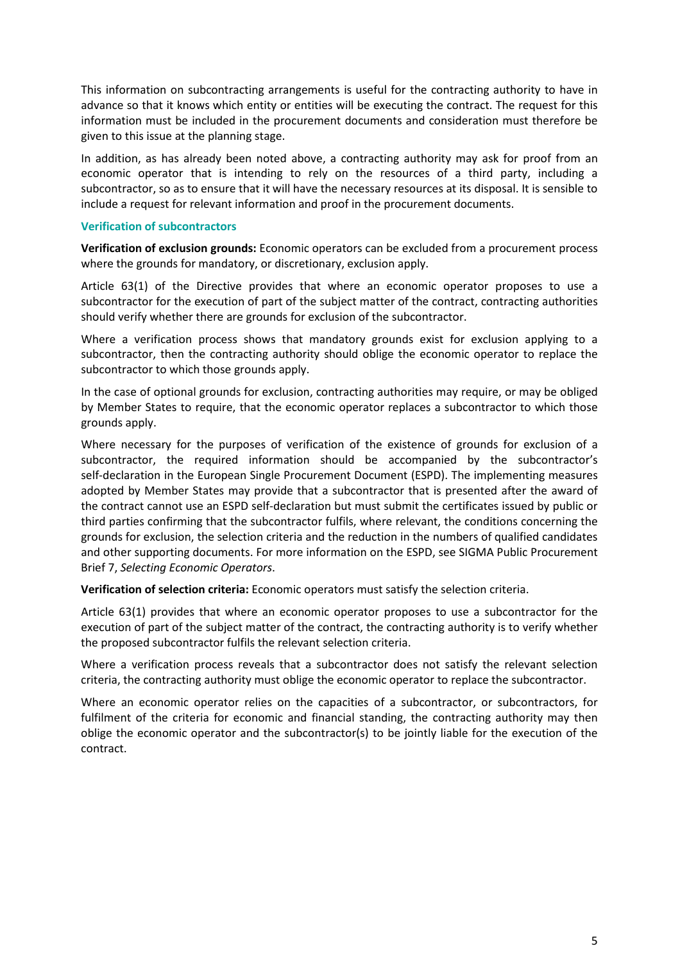This information on subcontracting arrangements is useful for the contracting authority to have in advance so that it knows which entity or entities will be executing the contract. The request for this information must be included in the procurement documents and consideration must therefore be given to this issue at the planning stage.

In addition, as has already been noted above, a contracting authority may ask for proof from an economic operator that is intending to rely on the resources of a third party, including a subcontractor, so as to ensure that it will have the necessary resources at its disposal. It is sensible to include a request for relevant information and proof in the procurement documents.

#### <span id="page-4-0"></span>**Verification of subcontractors**

**Verification of exclusion grounds:** Economic operators can be excluded from a procurement process where the grounds for mandatory, or discretionary, exclusion apply.

Article 63(1) of the Directive provides that where an economic operator proposes to use a subcontractor for the execution of part of the subject matter of the contract, contracting authorities should verify whether there are grounds for exclusion of the subcontractor.

Where a verification process shows that mandatory grounds exist for exclusion applying to a subcontractor, then the contracting authority should oblige the economic operator to replace the subcontractor to which those grounds apply.

In the case of optional grounds for exclusion, contracting authorities may require, or may be obliged by Member States to require, that the economic operator replaces a subcontractor to which those grounds apply.

Where necessary for the purposes of verification of the existence of grounds for exclusion of a subcontractor, the required information should be accompanied by the subcontractor's self-declaration in the European Single Procurement Document (ESPD). The implementing measures adopted by Member States may provide that a subcontractor that is presented after the award of the contract cannot use an ESPD self-declaration but must submit the certificates issued by public or third parties confirming that the subcontractor fulfils, where relevant, the conditions concerning the grounds for exclusion, the selection criteria and the reduction in the numbers of qualified candidates and other supporting documents. For more information on the ESPD, see SIGMA Public Procurement Brief 7, *Selecting Economic Operators*.

**Verification of selection criteria:** Economic operators must satisfy the selection criteria.

Article 63(1) provides that where an economic operator proposes to use a subcontractor for the execution of part of the subject matter of the contract, the contracting authority is to verify whether the proposed subcontractor fulfils the relevant selection criteria.

Where a verification process reveals that a subcontractor does not satisfy the relevant selection criteria, the contracting authority must oblige the economic operator to replace the subcontractor.

Where an economic operator relies on the capacities of a subcontractor, or subcontractors, for fulfilment of the criteria for economic and financial standing, the contracting authority may then oblige the economic operator and the subcontractor(s) to be jointly liable for the execution of the contract.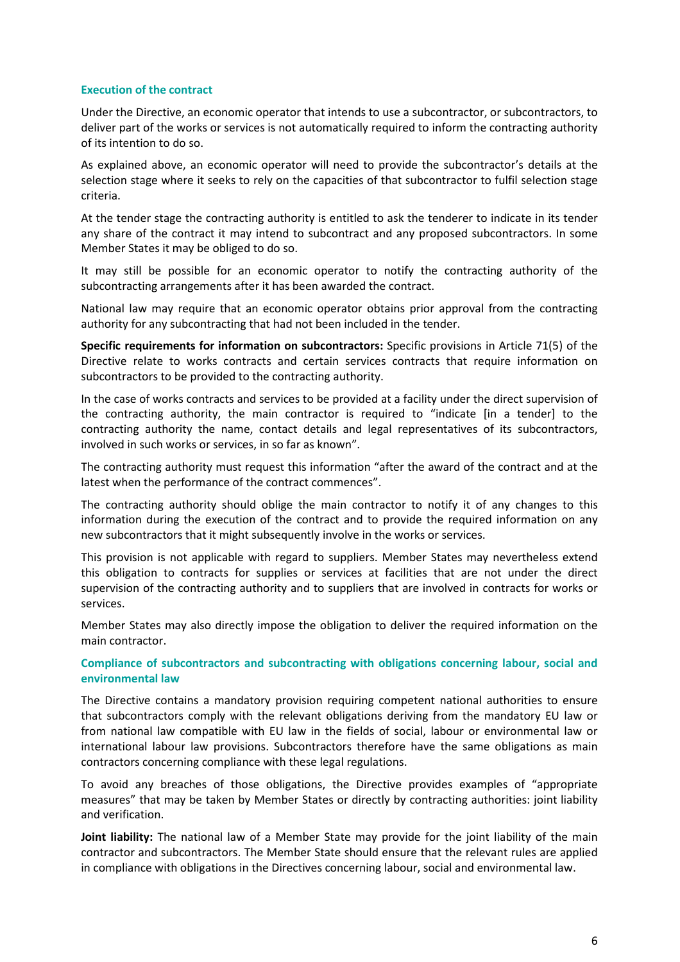## <span id="page-5-0"></span>**Execution of the contract**

Under the Directive, an economic operator that intends to use a subcontractor, or subcontractors, to deliver part of the works or services is not automatically required to inform the contracting authority of its intention to do so.

As explained above, an economic operator will need to provide the subcontractor's details at the selection stage where it seeks to rely on the capacities of that subcontractor to fulfil selection stage criteria.

At the tender stage the contracting authority is entitled to ask the tenderer to indicate in its tender any share of the contract it may intend to subcontract and any proposed subcontractors. In some Member States it may be obliged to do so.

It may still be possible for an economic operator to notify the contracting authority of the subcontracting arrangements after it has been awarded the contract.

National law may require that an economic operator obtains prior approval from the contracting authority for any subcontracting that had not been included in the tender.

**Specific requirements for information on subcontractors:** Specific provisions in Article 71(5) of the Directive relate to works contracts and certain services contracts that require information on subcontractors to be provided to the contracting authority.

In the case of works contracts and services to be provided at a facility under the direct supervision of the contracting authority, the main contractor is required to "indicate [in a tender] to the contracting authority the name, contact details and legal representatives of its subcontractors, involved in such works or services, in so far as known".

The contracting authority must request this information "after the award of the contract and at the latest when the performance of the contract commences".

The contracting authority should oblige the main contractor to notify it of any changes to this information during the execution of the contract and to provide the required information on any new subcontractors that it might subsequently involve in the works or services.

This provision is not applicable with regard to suppliers. Member States may nevertheless extend this obligation to contracts for supplies or services at facilities that are not under the direct supervision of the contracting authority and to suppliers that are involved in contracts for works or services.

Member States may also directly impose the obligation to deliver the required information on the main contractor.

<span id="page-5-1"></span>**Compliance of subcontractors and subcontracting with obligations concerning labour, social and environmental law**

The Directive contains a mandatory provision requiring competent national authorities to ensure that subcontractors comply with the relevant obligations deriving from the mandatory EU law or from national law compatible with EU law in the fields of social, labour or environmental law or international labour law provisions. Subcontractors therefore have the same obligations as main contractors concerning compliance with these legal regulations.

To avoid any breaches of those obligations, the Directive provides examples of "appropriate measures" that may be taken by Member States or directly by contracting authorities: joint liability and verification.

**Joint liability:** The national law of a Member State may provide for the joint liability of the main contractor and subcontractors. The Member State should ensure that the relevant rules are applied in compliance with obligations in the Directives concerning labour, social and environmental law.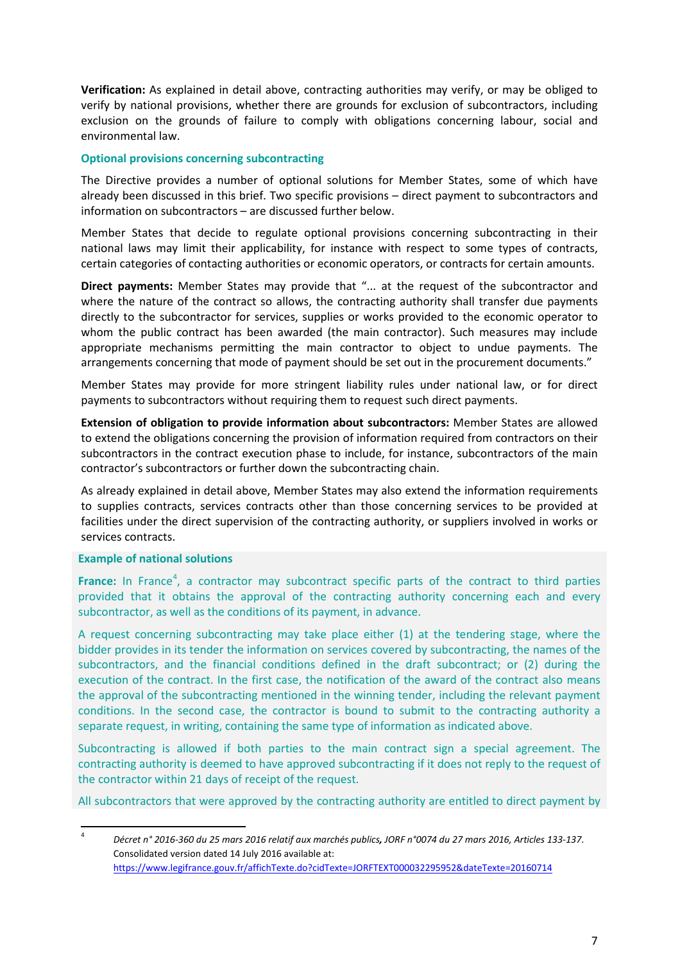**Verification:** As explained in detail above, contracting authorities may verify, or may be obliged to verify by national provisions, whether there are grounds for exclusion of subcontractors, including exclusion on the grounds of failure to comply with obligations concerning labour, social and environmental law.

## <span id="page-6-0"></span>**Optional provisions concerning subcontracting**

The Directive provides a number of optional solutions for Member States, some of which have already been discussed in this brief. Two specific provisions – direct payment to subcontractors and information on subcontractors – are discussed further below.

Member States that decide to regulate optional provisions concerning subcontracting in their national laws may limit their applicability, for instance with respect to some types of contracts, certain categories of contacting authorities or economic operators, or contracts for certain amounts.

**Direct payments:** Member States may provide that "... at the request of the subcontractor and where the nature of the contract so allows, the contracting authority shall transfer due payments directly to the subcontractor for services, supplies or works provided to the economic operator to whom the public contract has been awarded (the main contractor). Such measures may include appropriate mechanisms permitting the main contractor to object to undue payments. The arrangements concerning that mode of payment should be set out in the procurement documents."

Member States may provide for more stringent liability rules under national law, or for direct payments to subcontractors without requiring them to request such direct payments.

**Extension of obligation to provide information about subcontractors:** Member States are allowed to extend the obligations concerning the provision of information required from contractors on their subcontractors in the contract execution phase to include, for instance, subcontractors of the main contractor's subcontractors or further down the subcontracting chain.

As already explained in detail above, Member States may also extend the information requirements to supplies contracts, services contracts other than those concerning services to be provided at facilities under the direct supervision of the contracting authority, or suppliers involved in works or services contracts.

## **Example of national solutions**

France: In France<sup>[4](#page-6-1)</sup>, a contractor may subcontract specific parts of the contract to third parties provided that it obtains the approval of the contracting authority concerning each and every subcontractor, as well as the conditions of its payment, in advance.

A request concerning subcontracting may take place either (1) at the tendering stage, where the bidder provides in its tender the information on services covered by subcontracting, the names of the subcontractors, and the financial conditions defined in the draft subcontract; or (2) during the execution of the contract. In the first case, the notification of the award of the contract also means the approval of the subcontracting mentioned in the winning tender, including the relevant payment conditions. In the second case, the contractor is bound to submit to the contracting authority a separate request, in writing, containing the same type of information as indicated above.

Subcontracting is allowed if both parties to the main contract sign a special agreement. The contracting authority is deemed to have approved subcontracting if it does not reply to the request of the contractor within 21 days of receipt of the request.

All subcontractors that were approved by the contracting authority are entitled to direct payment by

<span id="page-6-1"></span> <sup>4</sup> *Décret n° 2016-360 du 25 mars 2016 relatif aux marchés publics, JORF n°0074 du 27 mars 2016, Articles 133-137*. Consolidated version dated 14 July 2016 available at: <https://www.legifrance.gouv.fr/affichTexte.do?cidTexte=JORFTEXT000032295952&dateTexte=20160714>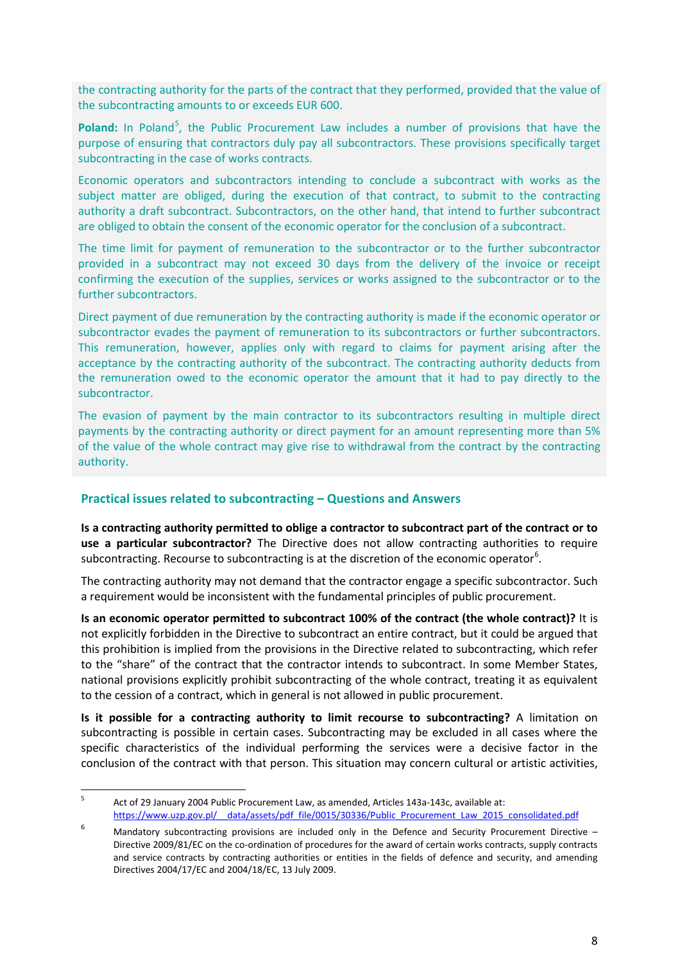the contracting authority for the parts of the contract that they performed, provided that the value of the subcontracting amounts to or exceeds EUR 600.

Poland: In Poland<sup>[5](#page-7-1)</sup>, the Public Procurement Law includes a number of provisions that have the purpose of ensuring that contractors duly pay all subcontractors. These provisions specifically target subcontracting in the case of works contracts.

Economic operators and subcontractors intending to conclude a subcontract with works as the subject matter are obliged, during the execution of that contract, to submit to the contracting authority a draft subcontract. Subcontractors, on the other hand, that intend to further subcontract are obliged to obtain the consent of the economic operator for the conclusion of a subcontract.

The time limit for payment of remuneration to the subcontractor or to the further subcontractor provided in a subcontract may not exceed 30 days from the delivery of the invoice or receipt confirming the execution of the supplies, services or works assigned to the subcontractor or to the further subcontractors.

Direct payment of due remuneration by the contracting authority is made if the economic operator or subcontractor evades the payment of remuneration to its subcontractors or further subcontractors. This remuneration, however, applies only with regard to claims for payment arising after the acceptance by the contracting authority of the subcontract. The contracting authority deducts from the remuneration owed to the economic operator the amount that it had to pay directly to the subcontractor.

The evasion of payment by the main contractor to its subcontractors resulting in multiple direct payments by the contracting authority or direct payment for an amount representing more than 5% of the value of the whole contract may give rise to withdrawal from the contract by the contracting authority.

# <span id="page-7-0"></span>**Practical issues related to subcontracting – Questions and Answers**

**Is a contracting authority permitted to oblige a contractor to subcontract part of the contract or to use a particular subcontractor?** The Directive does not allow contracting authorities to require subcontracting. Recourse to subcontracting is at the discretion of the economic operator<sup>[6](#page-7-2)</sup>.

The contracting authority may not demand that the contractor engage a specific subcontractor. Such a requirement would be inconsistent with the fundamental principles of public procurement.

**Is an economic operator permitted to subcontract 100% of the contract (the whole contract)?** It is not explicitly forbidden in the Directive to subcontract an entire contract, but it could be argued that this prohibition is implied from the provisions in the Directive related to subcontracting, which refer to the "share" of the contract that the contractor intends to subcontract. In some Member States, national provisions explicitly prohibit subcontracting of the whole contract, treating it as equivalent to the cession of a contract, which in general is not allowed in public procurement.

**Is it possible for a contracting authority to limit recourse to subcontracting?** A limitation on subcontracting is possible in certain cases. Subcontracting may be excluded in all cases where the specific characteristics of the individual performing the services were a decisive factor in the conclusion of the contract with that person. This situation may concern cultural or artistic activities,

<span id="page-7-1"></span> <sup>5</sup> Act of 29 January 2004 Public Procurement Law, as amended, Articles 143a-143c, available at: https://www.uzp.gov.pl/ data/assets/pdf\_file/0015/30336/Public\_Procurement\_Law\_2015\_consolidated.pdf

<span id="page-7-2"></span>Mandatory subcontracting provisions are included only in the Defence and Security Procurement Directive -Directive 2009/81/EC on the co-ordination of procedures for the award of certain works contracts, supply contracts and service contracts by contracting authorities or entities in the fields of defence and security, and amending Directives 2004/17/EC and 2004/18/EC, 13 July 2009.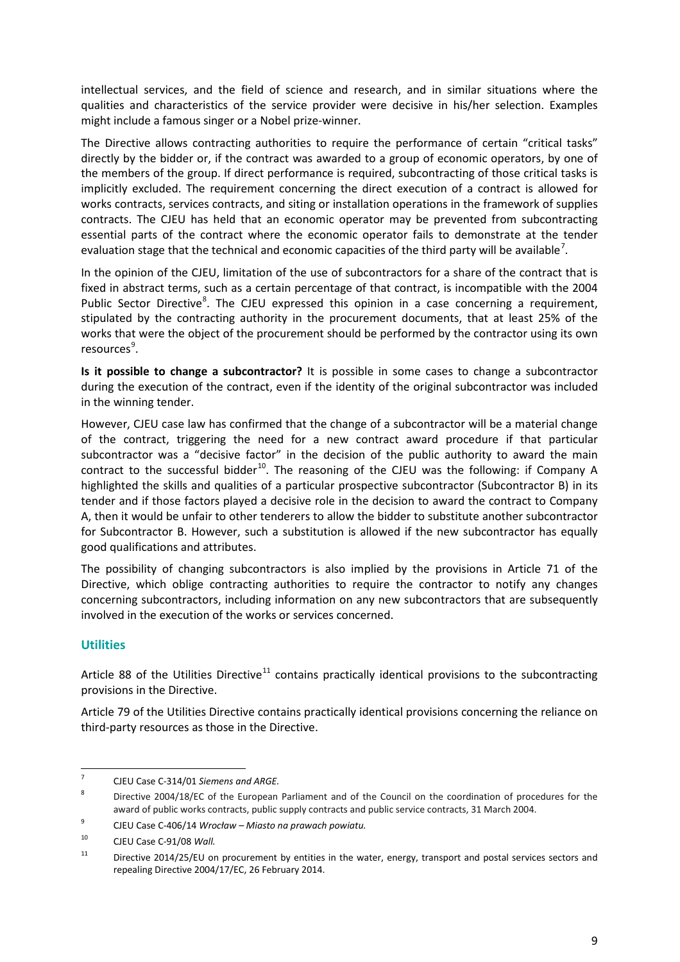intellectual services, and the field of science and research, and in similar situations where the qualities and characteristics of the service provider were decisive in his/her selection. Examples might include a famous singer or a Nobel prize-winner.

The Directive allows contracting authorities to require the performance of certain "critical tasks" directly by the bidder or, if the contract was awarded to a group of economic operators, by one of the members of the group. If direct performance is required, subcontracting of those critical tasks is implicitly excluded. The requirement concerning the direct execution of a contract is allowed for works contracts, services contracts, and siting or installation operations in the framework of supplies contracts. The CJEU has held that an economic operator may be prevented from subcontracting essential parts of the contract where the economic operator fails to demonstrate at the tender evaluation stage that the technical and economic capacities of the third party will be available<sup>[7](#page-8-1)</sup>.

In the opinion of the CJEU, limitation of the use of subcontractors for a share of the contract that is fixed in abstract terms, such as a certain percentage of that contract, is incompatible with the 2004 Public Sector Directive<sup>[8](#page-8-2)</sup>. The CJEU expressed this opinion in a case concerning a requirement, stipulated by the contracting authority in the procurement documents, that at least 25% of the works that were the object of the procurement should be performed by the contractor using its own resources<sup>[9](#page-8-3)</sup>.

**Is it possible to change a subcontractor?** It is possible in some cases to change a subcontractor during the execution of the contract, even if the identity of the original subcontractor was included in the winning tender.

However, CJEU case law has confirmed that the change of a subcontractor will be a material change of the contract, triggering the need for a new contract award procedure if that particular subcontractor was a "decisive factor" in the decision of the public authority to award the main contract to the successful bidder<sup>10</sup>. The reasoning of the CJEU was the following: if Company A highlighted the skills and qualities of a particular prospective subcontractor (Subcontractor B) in its tender and if those factors played a decisive role in the decision to award the contract to Company A, then it would be unfair to other tenderers to allow the bidder to substitute another subcontractor for Subcontractor B. However, such a substitution is allowed if the new subcontractor has equally good qualifications and attributes.

The possibility of changing subcontractors is also implied by the provisions in Article 71 of the Directive, which oblige contracting authorities to require the contractor to notify any changes concerning subcontractors, including information on any new subcontractors that are subsequently involved in the execution of the works or services concerned.

# <span id="page-8-0"></span>**Utilities**

Article 88 of the Utilities Directive<sup>[11](#page-8-5)</sup> contains practically identical provisions to the subcontracting provisions in the Directive.

Article 79 of the Utilities Directive contains practically identical provisions concerning the reliance on third-party resources as those in the Directive.

<span id="page-8-1"></span> <sup>7</sup> CJEU Case C-314/01 *Siemens and ARGE.*

<span id="page-8-2"></span><sup>8</sup> Directive 2004/18/EC of the European Parliament and of the Council on the coordination of procedures for the award of public works contracts, public supply contracts and public service contracts, 31 March 2004.

<span id="page-8-3"></span><sup>9</sup> CJEU Case C-406/14 *Wrocław – Miasto na prawach powiatu.*

<span id="page-8-4"></span><sup>10</sup> CJEU Case C-91/08 *Wall.*

<span id="page-8-5"></span><sup>&</sup>lt;sup>11</sup> Directive 2014/25/EU on procurement by entities in the water, energy, transport and postal services sectors and repealing Directive 2004/17/EC, 26 February 2014.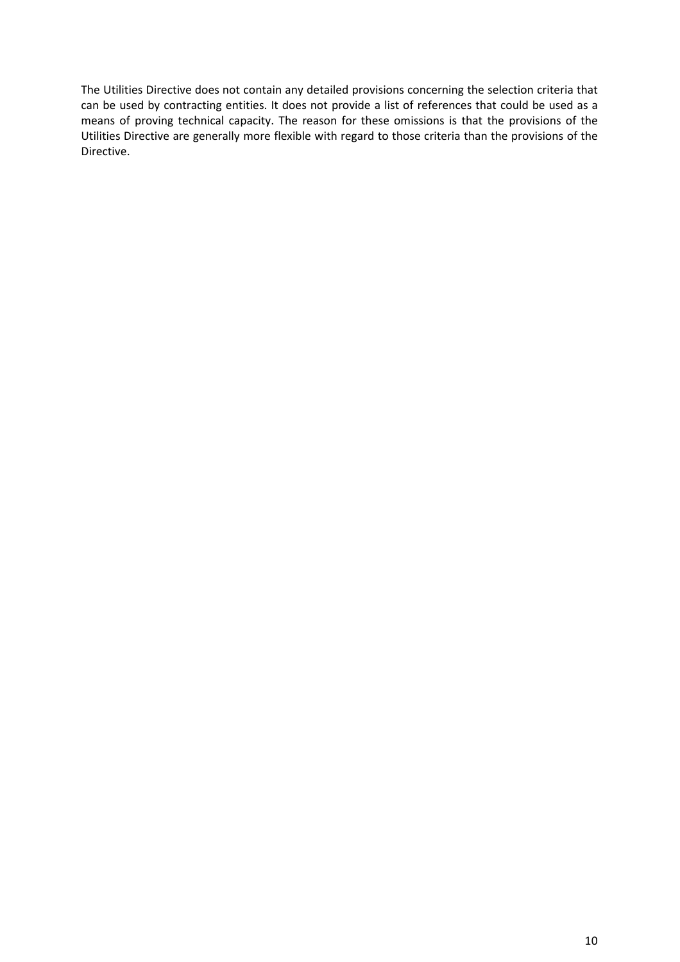The Utilities Directive does not contain any detailed provisions concerning the selection criteria that can be used by contracting entities. It does not provide a list of references that could be used as a means of proving technical capacity. The reason for these omissions is that the provisions of the Utilities Directive are generally more flexible with regard to those criteria than the provisions of the Directive.